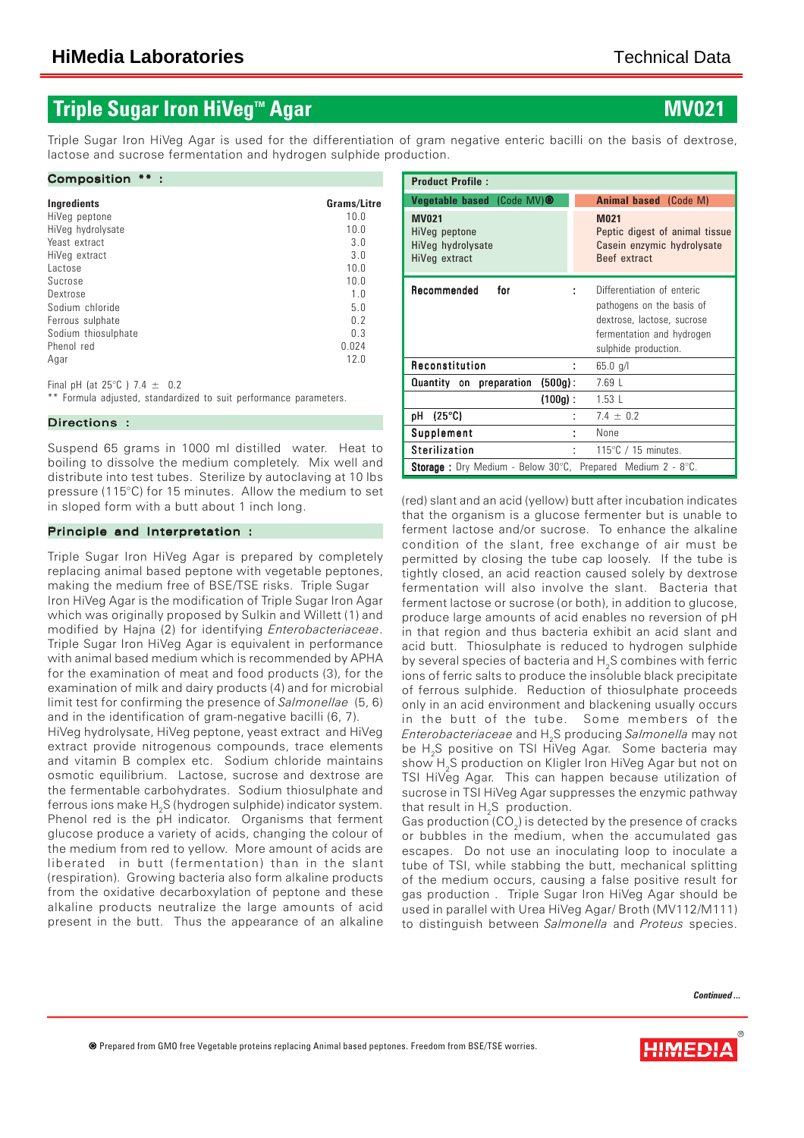## **Triple Sugar Iron HiVeg™ Agar**

Triple Sugar Iron HiVeg Agar is used for the differentiation of gram negative enteric bacilli on the basis of dextrose, lactose and sucrose fermentation and hydrogen sulphide production.

#### Composition \*\* :

| Ingredients         | Grams/Litre    |
|---------------------|----------------|
| HiVeg peptone       | 10.0           |
| HiVeg hydrolysate   | 10.0           |
| Yeast extract       | 3.0            |
| HiVeg extract       | 3.0            |
| lactose             | 10.0           |
| Sucrose             | 10.0           |
| Dextrose            | 1.0            |
| Sodium chloride     | 5.0            |
| Ferrous sulphate    | 0 <sub>2</sub> |
| Sodium thiosulphate | 0.3            |
| Phenol red          | 0.024          |
| Agar                | 12.0           |
|                     |                |

Final pH (at  $25^{\circ}$ C ) 7.4  $\pm$  0.2

\*\* Formula adjusted, standardized to suit performance parameters.

#### Directions :

Suspend 65 grams in 1000 ml distilled water. Heat to boiling to dissolve the medium completely. Mix well and distribute into test tubes. Sterilize by autoclaving at 10 lbs pressure (115°C) for 15 minutes. Allow the medium to set in sloped form with a butt about 1 inch long.

#### Principle and Interpretation :

Triple Sugar Iron HiVeg Agar is prepared by completely replacing animal based peptone with vegetable peptones, making the medium free of BSE/TSE risks. Triple Sugar Iron HiVeg Agar is the modification of Triple Sugar Iron Agar which was originally proposed by Sulkin and Willett (1) and modified by Hajna (2) for identifying *Enterobacteriaceae*. Triple Sugar Iron HiVeg Agar is equivalent in performance with animal based medium which is recommended by APHA for the examination of meat and food products (3), for the examination of milk and dairy products (4) and for microbial limit test for confirming the presence of *Salmonellae* (5, 6) and in the identification of gram-negative bacilli (6, 7).

HiVeg hydrolysate, HiVeg peptone, yeast extract and HiVeg extract provide nitrogenous compounds, trace elements and vitamin B complex etc. Sodium chloride maintains osmotic equilibrium. Lactose, sucrose and dextrose are the fermentable carbohydrates. Sodium thiosulphate and ferrous ions make  $\mathsf{H}_\mathsf{2}\mathsf{S}$  (hydrogen sulphide) indicator system. Phenol red is the pH indicator. Organisms that ferment glucose produce a variety of acids, changing the colour of the medium from red to yellow. More amount of acids are liberated in butt (fermentation) than in the slant (respiration). Growing bacteria also form alkaline products from the oxidative decarboxylation of peptone and these alkaline products neutralize the large amounts of acid present in the butt. Thus the appearance of an alkaline

| <b>Product Profile:</b>                                             |                                                                                                                                            |  |  |  |  |  |
|---------------------------------------------------------------------|--------------------------------------------------------------------------------------------------------------------------------------------|--|--|--|--|--|
| Vegetable based (Code MV) <sup>®</sup>                              | <b>Animal based</b> (Code M)                                                                                                               |  |  |  |  |  |
| <b>MV021</b><br>HiVeg peptone<br>HiVeg hydrolysate<br>HiVeg extract | <b>M021</b><br>Peptic digest of animal tissue<br>Casein enzymic hydrolysate<br>Beef extract                                                |  |  |  |  |  |
| Recommended<br>for                                                  | Differentiation of enteric<br>pathogens on the basis of<br>dextrose, lactose, sucrose<br>fermentation and hydrogen<br>sulphide production. |  |  |  |  |  |
| Reconstitution                                                      | $65.0$ g/l                                                                                                                                 |  |  |  |  |  |
| Quantity on preparation (500g):                                     | 7.69 <sub>1</sub>                                                                                                                          |  |  |  |  |  |
| $(100q)$ :                                                          | 1.53L                                                                                                                                      |  |  |  |  |  |
| $(25^{\circ}C)$<br>pH                                               | $7.4 \pm 0.2$                                                                                                                              |  |  |  |  |  |
| <b>Supplement</b>                                                   | None<br>t                                                                                                                                  |  |  |  |  |  |
| <b>Sterilization</b>                                                | 115 $\degree$ C / 15 minutes.<br>t                                                                                                         |  |  |  |  |  |
| <b>Storage</b> : Dry Medium - Below 30°C, Prepared Medium 2 - 8°C.  |                                                                                                                                            |  |  |  |  |  |

(red) slant and an acid (yellow) butt after incubation indicates that the organism is a glucose fermenter but is unable to ferment lactose and/or sucrose. To enhance the alkaline condition of the slant, free exchange of air must be permitted by closing the tube cap loosely. If the tube is tightly closed, an acid reaction caused solely by dextrose fermentation will also involve the slant. Bacteria that ferment lactose or sucrose (or both), in addition to glucose, produce large amounts of acid enables no reversion of pH in that region and thus bacteria exhibit an acid slant and acid butt. Thiosulphate is reduced to hydrogen sulphide by several species of bacteria and H<sub>2</sub>S combines with ferric ions of ferric salts to produce the insoluble black precipitate of ferrous sulphide. Reduction of thiosulphate proceeds only in an acid environment and blackening usually occurs in the butt of the tube. Some members of the *Enterobacteriaceae* and H2S producing *Salmonella* may not be  ${\sf H_2S}$  positive on TSI HiVeg Agar.  $\,$  Some bacteria may show H<sub>2</sub>S production on Kligler Iron HiVeg Agar but not on TSI HiVeg Agar. This can happen because utilization of sucrose in TSI HiVeg Agar suppresses the enzymic pathway that result in H<sub>2</sub>S production.

Gas production (CO $_{\textrm{\tiny{2}}})$  is detected by the presence of cracks or bubbles in the medium, when the accumulated gas escapes. Do not use an inoculating loop to inoculate a tube of TSI, while stabbing the butt, mechanical splitting of the medium occurs, causing a false positive result for gas production . Triple Sugar Iron HiVeg Agar should be used in parallel with Urea HiVeg Agar/ Broth (MV112/M111) to distinguish between *Salmonella* and *Proteus* species.

*Continued ...*